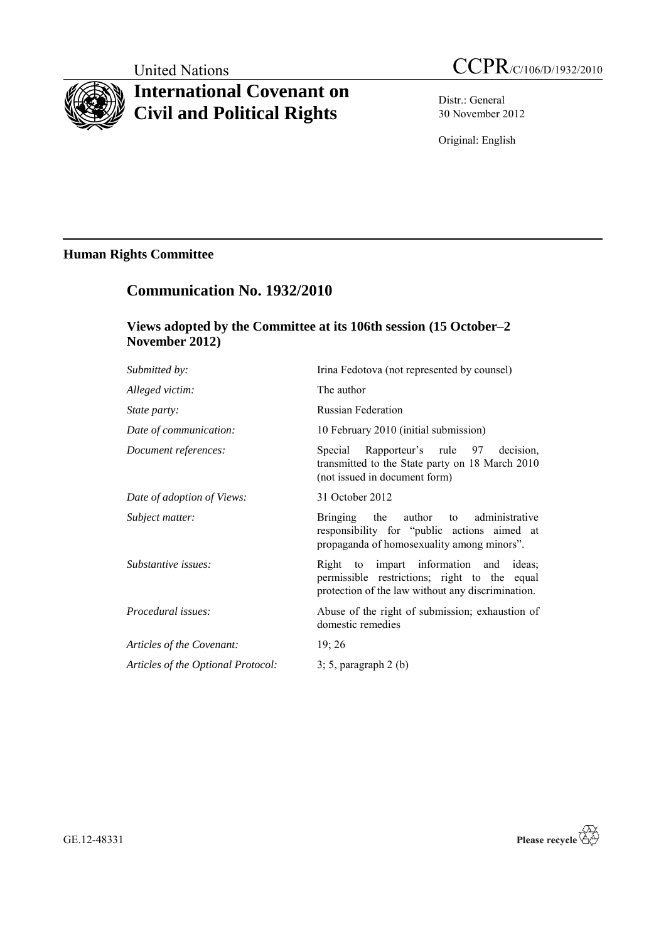# **International Covenant on Civil and Political Rights**

United Nations CCPR/C/106/D/1932/2010

Distr.: General 30 November 2012

Original: English

# **Human Rights Committee**

# **Communication No. 1932/2010**

# **Views adopted by the Committee at its 106th session (15 October–2 November 2012)**

| Submitted by:                      | Irina Fedotova (not represented by counsel)                                                                                                 |
|------------------------------------|---------------------------------------------------------------------------------------------------------------------------------------------|
| Alleged victim:                    | The author                                                                                                                                  |
| <i>State party:</i>                | <b>Russian Federation</b>                                                                                                                   |
| Date of communication:             | 10 February 2010 (initial submission)                                                                                                       |
| Document references:               | Special Rapporteur's rule 97 decision,<br>transmitted to the State party on 18 March 2010<br>(not issued in document form)                  |
| Date of adoption of Views:         | 31 October 2012                                                                                                                             |
| Subject matter:                    | Bringing the author to administrative<br>responsibility for "public actions aimed at<br>propaganda of homosexuality among minors".          |
| Substantive issues:                | Right to impart information and ideas;<br>permissible restrictions; right to the equal<br>protection of the law without any discrimination. |
| Procedural issues:                 | Abuse of the right of submission; exhaustion of<br>domestic remedies                                                                        |
| Articles of the Covenant:          | 19; 26                                                                                                                                      |
| Articles of the Optional Protocol: | $3; 5$ , paragraph $2(b)$                                                                                                                   |
|                                    |                                                                                                                                             |

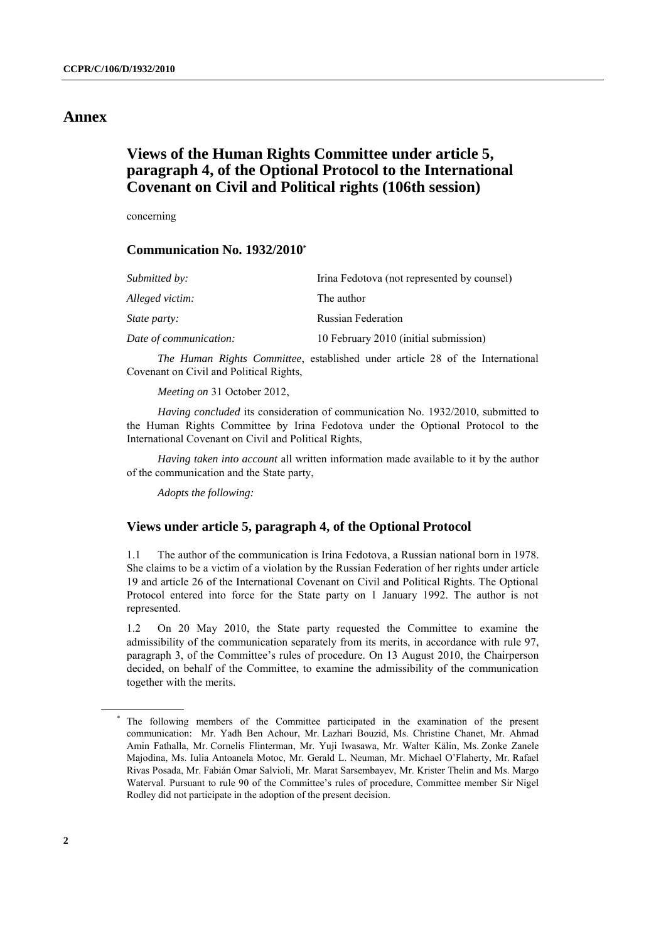## **Annex**

# **Views of the Human Rights Committee under article 5, paragraph 4, of the Optional Protocol to the International Covenant on Civil and Political rights (106th session)**

concerning

### **Communication No. 1932/2010\***

| <i>Submitted by:</i>   | Irina Fedotova (not represented by counsel) |
|------------------------|---------------------------------------------|
| Alleged victim:        | The author                                  |
| <i>State party:</i>    | <b>Russian Federation</b>                   |
| Date of communication: | 10 February 2010 (initial submission)       |

*The Human Rights Committee*, established under article 28 of the International Covenant on Civil and Political Rights,

*Meeting on* 31 October 2012,

*Having concluded* its consideration of communication No. 1932/2010, submitted to the Human Rights Committee by Irina Fedotova under the Optional Protocol to the International Covenant on Civil and Political Rights,

*Having taken into account* all written information made available to it by the author of the communication and the State party,

*Adopts the following:*

#### **Views under article 5, paragraph 4, of the Optional Protocol**

1.1 The author of the communication is Irina Fedotova, a Russian national born in 1978. She claims to be a victim of a violation by the Russian Federation of her rights under article 19 and article 26 of the International Covenant on Civil and Political Rights. The Optional Protocol entered into force for the State party on 1 January 1992. The author is not represented.

1.2 On 20 May 2010, the State party requested the Committee to examine the admissibility of the communication separately from its merits, in accordance with rule 97, paragraph 3, of the Committee"s rules of procedure. On 13 August 2010, the Chairperson decided, on behalf of the Committee, to examine the admissibility of the communication together with the merits.

<sup>\*</sup> The following members of the Committee participated in the examination of the present communication: Mr. Yadh Ben Achour, Mr. Lazhari Bouzid, Ms. Christine Chanet, Mr. Ahmad Amin Fathalla, Mr. Cornelis Flinterman, Mr. Yuji Iwasawa, Mr. Walter Kälin, Ms. Zonke Zanele Majodina, Ms. Iulia Antoanela Motoc, Mr. Gerald L. Neuman, Mr. Michael O"Flaherty, Mr. Rafael Rivas Posada, Mr. Fabián Omar Salvioli, Mr. Marat Sarsembayev, Mr. Krister Thelin and Ms. Margo Waterval. Pursuant to rule 90 of the Committee"s rules of procedure, Committee member Sir Nigel Rodley did not participate in the adoption of the present decision.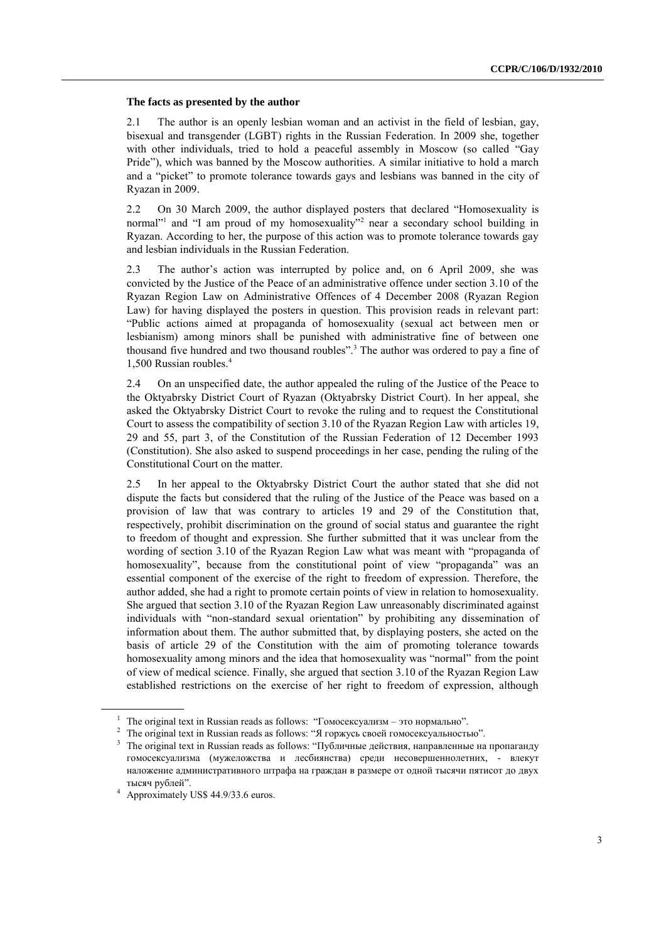#### **The facts as presented by the author**

2.1 The author is an openly lesbian woman and an activist in the field of lesbian, gay, bisexual and transgender (LGBT) rights in the Russian Federation. In 2009 she, together with other individuals, tried to hold a peaceful assembly in Moscow (so called "Gay Pride"), which was banned by the Moscow authorities. A similar initiative to hold a march and a "picket" to promote tolerance towards gays and lesbians was banned in the city of Ryazan in 2009.

2.2 On 30 March 2009, the author displayed posters that declared "Homosexuality is normal" and "I am proud of my homosexuality" near a secondary school building in Ryazan. According to her, the purpose of this action was to promote tolerance towards gay and lesbian individuals in the Russian Federation.

2.3 The author"s action was interrupted by police and, on 6 April 2009, she was convicted by the Justice of the Peace of an administrative offence under section 3.10 of the Ryazan Region Law on Administrative Offences of 4 December 2008 (Ryazan Region Law) for having displayed the posters in question. This provision reads in relevant part: "Public actions aimed at propaganda of homosexuality (sexual act between men or lesbianism) among minors shall be punished with administrative fine of between one thousand five hundred and two thousand roubles".<sup>3</sup> The author was ordered to pay a fine of 1,500 Russian roubles.<sup>4</sup>

2.4 On an unspecified date, the author appealed the ruling of the Justice of the Peace to the Oktyabrsky District Court of Ryazan (Oktyabrsky District Court). In her appeal, she asked the Oktyabrsky District Court to revoke the ruling and to request the Constitutional Court to assess the compatibility of section 3.10 of the Ryazan Region Law with articles 19, 29 and 55, part 3, of the Constitution of the Russian Federation of 12 December 1993 (Constitution). She also asked to suspend proceedings in her case, pending the ruling of the Constitutional Court on the matter.

2.5 In her appeal to the Oktyabrsky District Court the author stated that she did not dispute the facts but considered that the ruling of the Justice of the Peace was based on a provision of law that was contrary to articles 19 and 29 of the Constitution that, respectively, prohibit discrimination on the ground of social status and guarantee the right to freedom of thought and expression. She further submitted that it was unclear from the wording of section 3.10 of the Ryazan Region Law what was meant with "propaganda of homosexuality", because from the constitutional point of view "propaganda" was an essential component of the exercise of the right to freedom of expression. Therefore, the author added, she had a right to promote certain points of view in relation to homosexuality. She argued that section 3.10 of the Ryazan Region Law unreasonably discriminated against individuals with "non-standard sexual orientation" by prohibiting any dissemination of information about them. The author submitted that, by displaying posters, she acted on the basis of article 29 of the Constitution with the aim of promoting tolerance towards homosexuality among minors and the idea that homosexuality was "normal" from the point of view of medical science. Finally, she argued that section 3.10 of the Ryazan Region Law established restrictions on the exercise of her right to freedom of expression, although

<sup>&</sup>lt;sup>1</sup> The original text in Russian reads as follows: "Гомосексуализм – это нормально".

<sup>&</sup>lt;sup>2</sup> The original text in Russian reads as follows: "Я горжусь своей гомосексуальностью".

 $3$  The original text in Russian reads as follows: "Публичные действия, направленные на пропаганду гомосексуализма (мужеложства и лесбиянства) среди несовершеннолетних, - влекут наложение административного штрафа на граждан в размере от одной тысячи пятисот до двух тысяч рублей".

<sup>4</sup> Approximately US\$ 44.9/33.6 euros.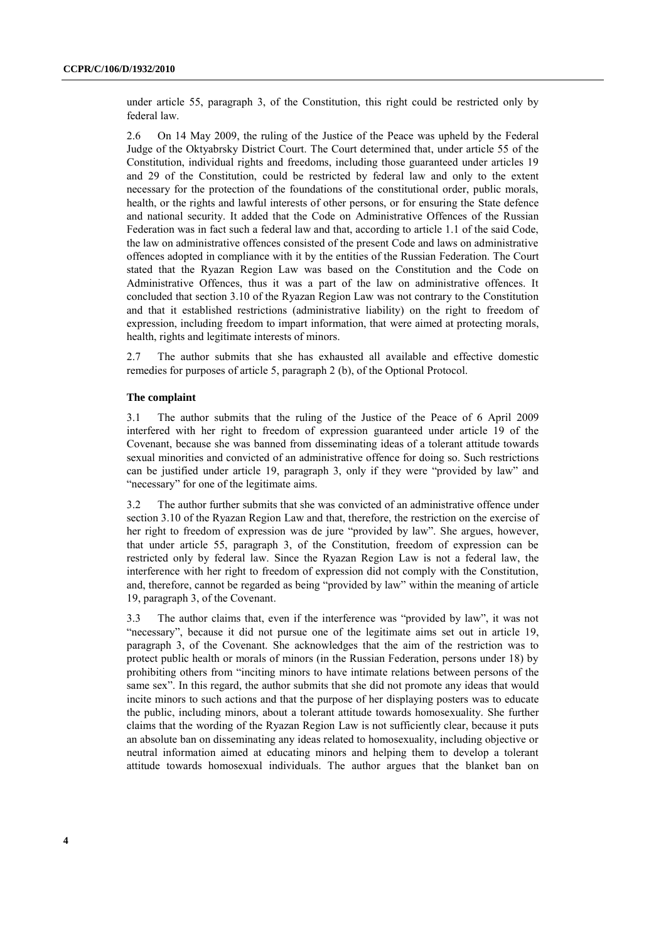under article 55, paragraph 3, of the Constitution, this right could be restricted only by federal law.

2.6 On 14 May 2009, the ruling of the Justice of the Peace was upheld by the Federal Judge of the Oktyabrsky District Court. The Court determined that, under article 55 of the Constitution, individual rights and freedoms, including those guaranteed under articles 19 and 29 of the Constitution, could be restricted by federal law and only to the extent necessary for the protection of the foundations of the constitutional order, public morals, health, or the rights and lawful interests of other persons, or for ensuring the State defence and national security. It added that the Code on Administrative Offences of the Russian Federation was in fact such a federal law and that, according to article 1.1 of the said Code, the law on administrative offences consisted of the present Code and laws on administrative offences adopted in compliance with it by the entities of the Russian Federation. The Court stated that the Ryazan Region Law was based on the Constitution and the Code on Administrative Offences, thus it was a part of the law on administrative offences. It concluded that section 3.10 of the Ryazan Region Law was not contrary to the Constitution and that it established restrictions (administrative liability) on the right to freedom of expression, including freedom to impart information, that were aimed at protecting morals, health, rights and legitimate interests of minors.

2.7 The author submits that she has exhausted all available and effective domestic remedies for purposes of article 5, paragraph 2 (b), of the Optional Protocol.

#### **The complaint**

3.1 The author submits that the ruling of the Justice of the Peace of 6 April 2009 interfered with her right to freedom of expression guaranteed under article 19 of the Covenant, because she was banned from disseminating ideas of a tolerant attitude towards sexual minorities and convicted of an administrative offence for doing so. Such restrictions can be justified under article 19, paragraph 3, only if they were "provided by law" and "necessary" for one of the legitimate aims.

3.2 The author further submits that she was convicted of an administrative offence under section 3.10 of the Ryazan Region Law and that, therefore, the restriction on the exercise of her right to freedom of expression was de jure "provided by law". She argues, however, that under article 55, paragraph 3, of the Constitution, freedom of expression can be restricted only by federal law. Since the Ryazan Region Law is not a federal law, the interference with her right to freedom of expression did not comply with the Constitution, and, therefore, cannot be regarded as being "provided by law" within the meaning of article 19, paragraph 3, of the Covenant.

3.3 The author claims that, even if the interference was "provided by law", it was not "necessary", because it did not pursue one of the legitimate aims set out in article 19, paragraph 3, of the Covenant. She acknowledges that the aim of the restriction was to protect public health or morals of minors (in the Russian Federation, persons under 18) by prohibiting others from "inciting minors to have intimate relations between persons of the same sex". In this regard, the author submits that she did not promote any ideas that would incite minors to such actions and that the purpose of her displaying posters was to educate the public, including minors, about a tolerant attitude towards homosexuality. She further claims that the wording of the Ryazan Region Law is not sufficiently clear, because it puts an absolute ban on disseminating any ideas related to homosexuality, including objective or neutral information aimed at educating minors and helping them to develop a tolerant attitude towards homosexual individuals. The author argues that the blanket ban on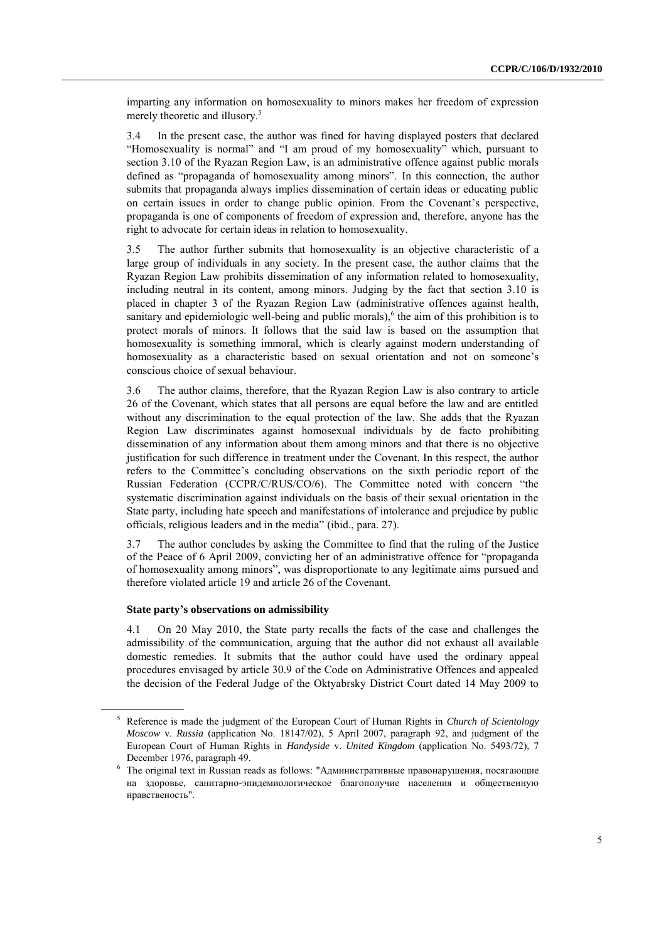imparting any information on homosexuality to minors makes her freedom of expression merely theoretic and illusory.<sup>5</sup>

3.4 In the present case, the author was fined for having displayed posters that declared "Homosexuality is normal" and "I am proud of my homosexuality" which, pursuant to section 3.10 of the Ryazan Region Law, is an administrative offence against public morals defined as "propaganda of homosexuality among minors". In this connection, the author submits that propaganda always implies dissemination of certain ideas or educating public on certain issues in order to change public opinion. From the Covenant"s perspective, propaganda is one of components of freedom of expression and, therefore, anyone has the right to advocate for certain ideas in relation to homosexuality.

3.5 The author further submits that homosexuality is an objective characteristic of a large group of individuals in any society. In the present case, the author claims that the Ryazan Region Law prohibits dissemination of any information related to homosexuality, including neutral in its content, among minors. Judging by the fact that section 3.10 is placed in chapter 3 of the Ryazan Region Law (administrative offences against health, sanitary and epidemiologic well-being and public morals), 6 the aim of this prohibition is to protect morals of minors. It follows that the said law is based on the assumption that homosexuality is something immoral, which is clearly against modern understanding of homosexuality as a characteristic based on sexual orientation and not on someone"s conscious choice of sexual behaviour.

3.6 The author claims, therefore, that the Ryazan Region Law is also contrary to article 26 of the Covenant, which states that all persons are equal before the law and are entitled without any discrimination to the equal protection of the law. She adds that the Ryazan Region Law discriminates against homosexual individuals by de facto prohibiting dissemination of any information about them among minors and that there is no objective justification for such difference in treatment under the Covenant. In this respect, the author refers to the Committee"s concluding observations on the sixth periodic report of the Russian Federation (CCPR/C/RUS/CO/6). The Committee noted with concern "the systematic discrimination against individuals on the basis of their sexual orientation in the State party, including hate speech and manifestations of intolerance and prejudice by public officials, religious leaders and in the media" (ibid., para. 27).

3.7 The author concludes by asking the Committee to find that the ruling of the Justice of the Peace of 6 April 2009, convicting her of an administrative offence for "propaganda of homosexuality among minors", was disproportionate to any legitimate aims pursued and therefore violated article 19 and article 26 of the Covenant.

#### **State party's observations on admissibility**

4.1 On 20 May 2010, the State party recalls the facts of the case and challenges the admissibility of the communication, arguing that the author did not exhaust all available domestic remedies. It submits that the author could have used the ordinary appeal procedures envisaged by article 30.9 of the Code on Administrative Offences and appealed the decision of the Federal Judge of the Oktyabrsky District Court dated 14 May 2009 to

<sup>5</sup> Reference is made the judgment of the European Court of Human Rights in *Church of Scientology Moscow* v. *Russia* (application No. 18147/02), 5 April 2007, paragraph 92, and judgment of the European Court of Human Rights in *Handyside* v. *United Kingdom* (application No. 5493/72), 7 December 1976, paragraph 49.

<sup>6</sup> The original text in Russian reads as follows: "Административные правонарушения, посягающие на здоровье, санитарно-эпидемиологическое благополучие населения и общественную нравственость".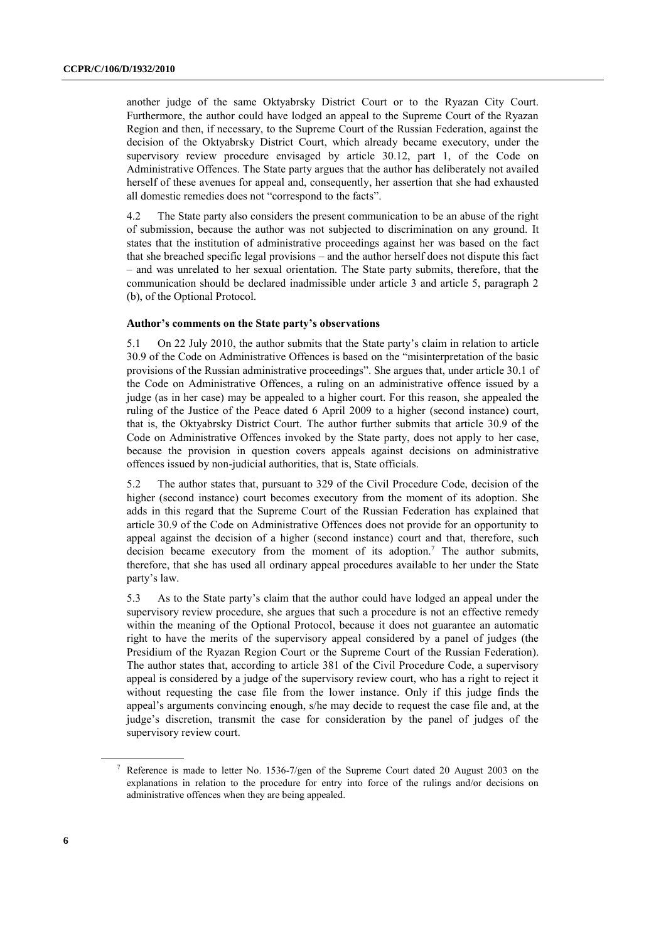another judge of the same Oktyabrsky District Court or to the Ryazan City Court. Furthermore, the author could have lodged an appeal to the Supreme Court of the Ryazan Region and then, if necessary, to the Supreme Court of the Russian Federation, against the decision of the Oktyabrsky District Court, which already became executory, under the supervisory review procedure envisaged by article 30.12, part 1, of the Code on Administrative Offences. The State party argues that the author has deliberately not availed herself of these avenues for appeal and, consequently, her assertion that she had exhausted all domestic remedies does not "correspond to the facts".

4.2 The State party also considers the present communication to be an abuse of the right of submission, because the author was not subjected to discrimination on any ground. It states that the institution of administrative proceedings against her was based on the fact that she breached specific legal provisions – and the author herself does not dispute this fact – and was unrelated to her sexual orientation. The State party submits, therefore, that the communication should be declared inadmissible under article 3 and article 5, paragraph 2 (b), of the Optional Protocol.

#### **Author's comments on the State party's observations**

5.1 On 22 July 2010, the author submits that the State party"s claim in relation to article 30.9 of the Code on Administrative Offences is based on the "misinterpretation of the basic provisions of the Russian administrative proceedings". She argues that, under article 30.1 of the Code on Administrative Offences, a ruling on an administrative offence issued by a judge (as in her case) may be appealed to a higher court. For this reason, she appealed the ruling of the Justice of the Peace dated 6 April 2009 to a higher (second instance) court, that is, the Oktyabrsky District Court. The author further submits that article 30.9 of the Code on Administrative Offences invoked by the State party, does not apply to her case, because the provision in question covers appeals against decisions on administrative offences issued by non-judicial authorities, that is, State officials.

5.2 The author states that, pursuant to 329 of the Civil Procedure Code, decision of the higher (second instance) court becomes executory from the moment of its adoption. She adds in this regard that the Supreme Court of the Russian Federation has explained that article 30.9 of the Code on Administrative Offences does not provide for an opportunity to appeal against the decision of a higher (second instance) court and that, therefore, such decision became executory from the moment of its adoption.<sup>7</sup> The author submits, therefore, that she has used all ordinary appeal procedures available to her under the State party's law.

5.3 As to the State party"s claim that the author could have lodged an appeal under the supervisory review procedure, she argues that such a procedure is not an effective remedy within the meaning of the Optional Protocol, because it does not guarantee an automatic right to have the merits of the supervisory appeal considered by a panel of judges (the Presidium of the Ryazan Region Court or the Supreme Court of the Russian Federation). The author states that, according to article 381 of the Civil Procedure Code, a supervisory appeal is considered by a judge of the supervisory review court, who has a right to reject it without requesting the case file from the lower instance. Only if this judge finds the appeal"s arguments convincing enough, s/he may decide to request the case file and, at the judge's discretion, transmit the case for consideration by the panel of judges of the supervisory review court.

<sup>7</sup> Reference is made to letter No. 1536-7/gen of the Supreme Court dated 20 August 2003 on the explanations in relation to the procedure for entry into force of the rulings and/or decisions on administrative offences when they are being appealed.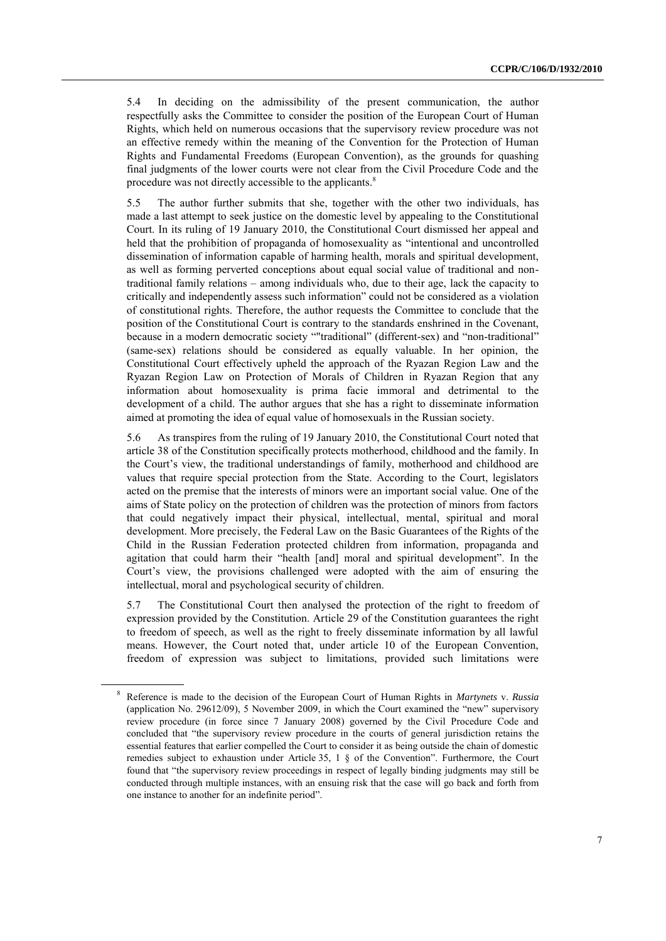5.4 In deciding on the admissibility of the present communication, the author respectfully asks the Committee to consider the position of the European Court of Human Rights, which held on numerous occasions that the supervisory review procedure was not an effective remedy within the meaning of the Convention for the Protection of Human Rights and Fundamental Freedoms (European Convention), as the grounds for quashing final judgments of the lower courts were not clear from the Civil Procedure Code and the procedure was not directly accessible to the applicants.<sup>8</sup>

5.5 The author further submits that she, together with the other two individuals, has made a last attempt to seek justice on the domestic level by appealing to the Constitutional Court. In its ruling of 19 January 2010, the Constitutional Court dismissed her appeal and held that the prohibition of propaganda of homosexuality as "intentional and uncontrolled dissemination of information capable of harming health, morals and spiritual development, as well as forming perverted conceptions about equal social value of traditional and nontraditional family relations – among individuals who, due to their age, lack the capacity to critically and independently assess such information" could not be considered as a violation of constitutional rights. Therefore, the author requests the Committee to conclude that the position of the Constitutional Court is contrary to the standards enshrined in the Covenant, because in a modern democratic society ""traditional" (different-sex) and "non-traditional" (same-sex) relations should be considered as equally valuable. In her opinion, the Constitutional Court effectively upheld the approach of the Ryazan Region Law and the Ryazan Region Law on Protection of Morals of Children in Ryazan Region that any information about homosexuality is prima facie immoral and detrimental to the development of a child. The author argues that she has a right to disseminate information aimed at promoting the idea of equal value of homosexuals in the Russian society.

5.6 As transpires from the ruling of 19 January 2010, the Constitutional Court noted that article 38 of the Constitution specifically protects motherhood, childhood and the family. In the Court"s view, the traditional understandings of family, motherhood and childhood are values that require special protection from the State. According to the Court, legislators acted on the premise that the interests of minors were an important social value. One of the aims of State policy on the protection of children was the protection of minors from factors that could negatively impact their physical, intellectual, mental, spiritual and moral development. More precisely, the Federal Law on the Basic Guarantees of the Rights of the Child in the Russian Federation protected children from information, propaganda and agitation that could harm their "health [and] moral and spiritual development". In the Court's view, the provisions challenged were adopted with the aim of ensuring the intellectual, moral and psychological security of children.

5.7 The Constitutional Court then analysed the protection of the right to freedom of expression provided by the Constitution. Article 29 of the Constitution guarantees the right to freedom of speech, as well as the right to freely disseminate information by all lawful means. However, the Court noted that, under article 10 of the European Convention, freedom of expression was subject to limitations, provided such limitations were

<sup>8</sup> Reference is made to the decision of the European Court of Human Rights in *Martynets* v. *Russia* (application No. 29612/09), 5 November 2009, in which the Court examined the "new" supervisory review procedure (in force since 7 January 2008) governed by the Civil Procedure Code and concluded that "the supervisory review procedure in the courts of general jurisdiction retains the essential features that earlier compelled the Court to consider it as being outside the chain of domestic remedies subject to exhaustion under Article 35, 1 § of the Convention". Furthermore, the Court found that "the supervisory review proceedings in respect of legally binding judgments may still be conducted through multiple instances, with an ensuing risk that the case will go back and forth from one instance to another for an indefinite period".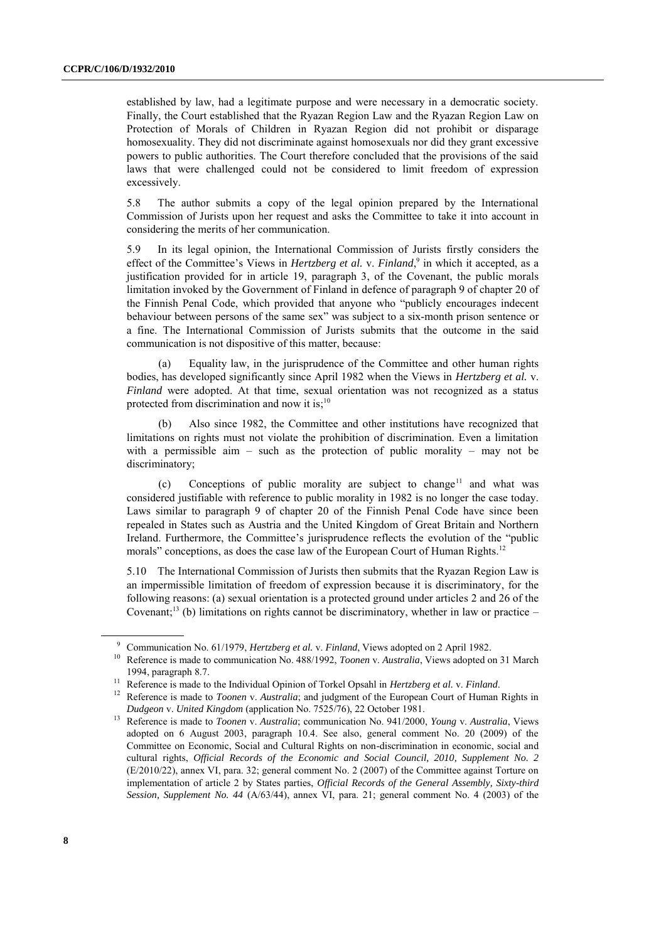established by law, had a legitimate purpose and were necessary in a democratic society. Finally, the Court established that the Ryazan Region Law and the Ryazan Region Law on Protection of Morals of Children in Ryazan Region did not prohibit or disparage homosexuality. They did not discriminate against homosexuals nor did they grant excessive powers to public authorities. The Court therefore concluded that the provisions of the said laws that were challenged could not be considered to limit freedom of expression excessively.

5.8 The author submits a copy of the legal opinion prepared by the International Commission of Jurists upon her request and asks the Committee to take it into account in considering the merits of her communication.

5.9 In its legal opinion, the International Commission of Jurists firstly considers the effect of the Committee's Views in *Hertzberg et al. v. Finland*,<sup>9</sup> in which it accepted, as a justification provided for in article 19, paragraph 3, of the Covenant, the public morals limitation invoked by the Government of Finland in defence of paragraph 9 of chapter 20 of the Finnish Penal Code, which provided that anyone who "publicly encourages indecent behaviour between persons of the same sex" was subject to a six-month prison sentence or a fine. The International Commission of Jurists submits that the outcome in the said communication is not dispositive of this matter, because:

(a) Equality law, in the jurisprudence of the Committee and other human rights bodies, has developed significantly since April 1982 when the Views in *Hertzberg et al.* v. *Finland* were adopted. At that time, sexual orientation was not recognized as a status protected from discrimination and now it is;<sup>10</sup>

Also since 1982, the Committee and other institutions have recognized that limitations on rights must not violate the prohibition of discrimination. Even a limitation with a permissible aim – such as the protection of public morality – may not be discriminatory;

(c) Conceptions of public morality are subject to change<sup>11</sup> and what was considered justifiable with reference to public morality in 1982 is no longer the case today. Laws similar to paragraph 9 of chapter 20 of the Finnish Penal Code have since been repealed in States such as Austria and the United Kingdom of Great Britain and Northern Ireland. Furthermore, the Committee's jurisprudence reflects the evolution of the "public morals" conceptions, as does the case law of the European Court of Human Rights.<sup>12</sup>

5.10 The International Commission of Jurists then submits that the Ryazan Region Law is an impermissible limitation of freedom of expression because it is discriminatory, for the following reasons: (a) sexual orientation is a protected ground under articles 2 and 26 of the Covenant;<sup>13</sup> (b) limitations on rights cannot be discriminatory, whether in law or practice  $-\frac{1}{2}$ 

<sup>9</sup> Communication No. 61/1979, *Hertzberg et al.* v. *Finland*, Views adopted on 2 April 1982.

<sup>10</sup> Reference is made to communication No. 488/1992, *Toonen* v. *Australia*, Views adopted on 31 March 1994, paragraph 8.7.

<sup>11</sup> Reference is made to the Individual Opinion of Torkel Opsahl in *Hertzberg et al.* v. *Finland*.

<sup>&</sup>lt;sup>12</sup> Reference is made to *Toonen* v. *Australia*; and judgment of the European Court of Human Rights in *Dudgeon* v. *United Kingdom* (application No. 7525/76), 22 October 1981.

<sup>13</sup> Reference is made to *Toonen* v. *Australia*; communication No. 941/2000, *Young* v. *Australia*, Views adopted on 6 August 2003, paragraph 10.4. See also, general comment No. 20 (2009) of the Committee on Economic, Social and Cultural Rights on non-discrimination in economic, social and cultural rights, *Official Records of the Economic and Social Council, 2010, Supplement No. 2*  (E/2010/22), annex VI, para. 32; general comment No. 2 (2007) of the Committee against Torture on implementation of article 2 by States parties, *Official Records of the General Assembly, Sixty-third Session, Supplement No. 44* (A/63/44), annex VI, para. 21; general comment No. 4 (2003) of the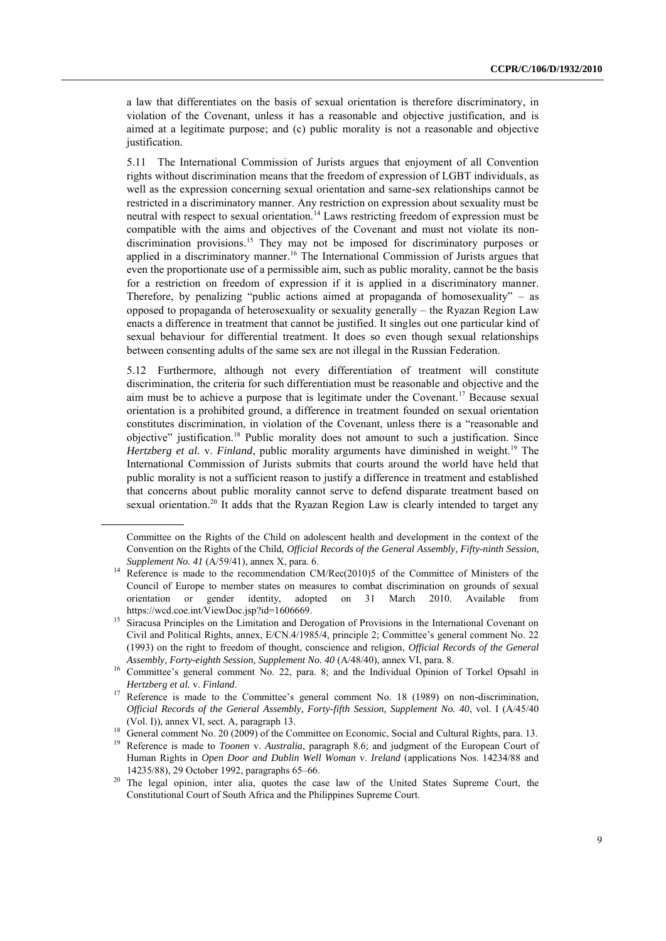a law that differentiates on the basis of sexual orientation is therefore discriminatory, in violation of the Covenant, unless it has a reasonable and objective justification, and is aimed at a legitimate purpose; and (c) public morality is not a reasonable and objective justification.

5.11 The International Commission of Jurists argues that enjoyment of all Convention rights without discrimination means that the freedom of expression of LGBT individuals, as well as the expression concerning sexual orientation and same-sex relationships cannot be restricted in a discriminatory manner. Any restriction on expression about sexuality must be neutral with respect to sexual orientation.<sup>14</sup> Laws restricting freedom of expression must be compatible with the aims and objectives of the Covenant and must not violate its nondiscrimination provisions.<sup>15</sup> They may not be imposed for discriminatory purposes or applied in a discriminatory manner.<sup>16</sup> The International Commission of Jurists argues that even the proportionate use of a permissible aim, such as public morality, cannot be the basis for a restriction on freedom of expression if it is applied in a discriminatory manner. Therefore, by penalizing "public actions aimed at propaganda of homosexuality" – as opposed to propaganda of heterosexuality or sexuality generally – the Ryazan Region Law enacts a difference in treatment that cannot be justified. It singles out one particular kind of sexual behaviour for differential treatment. It does so even though sexual relationships between consenting adults of the same sex are not illegal in the Russian Federation.

5.12 Furthermore, although not every differentiation of treatment will constitute discrimination, the criteria for such differentiation must be reasonable and objective and the aim must be to achieve a purpose that is legitimate under the Covenant.<sup>17</sup> Because sexual orientation is a prohibited ground, a difference in treatment founded on sexual orientation constitutes discrimination, in violation of the Covenant, unless there is a "reasonable and objective" justification.<sup>18</sup> Public morality does not amount to such a justification. Since *Hertzberg et al. v. Finland, public morality arguments have diminished in weight.<sup>19</sup> The* International Commission of Jurists submits that courts around the world have held that public morality is not a sufficient reason to justify a difference in treatment and established that concerns about public morality cannot serve to defend disparate treatment based on sexual orientation.<sup>20</sup> It adds that the Ryazan Region Law is clearly intended to target any

Committee on the Rights of the Child on adolescent health and development in the context of the Convention on the Rights of the Child, *Official Records of the General Assembly, Fifty-ninth Session, Supplement No. 41* (A/59/41), annex X, para. 6.

Reference is made to the recommendation CM/Rec(2010)5 of the Committee of Ministers of the Council of Europe to member states on measures to combat discrimination on grounds of sexual orientation or gender identity, adopted on 31 March 2010. Available from https://wcd.coe.int/ViewDoc.jsp?id=1606669.

<sup>&</sup>lt;sup>15</sup> Siracusa Principles on the Limitation and Derogation of Provisions in the International Covenant on Civil and Political Rights, annex, E/CN.4/1985/4, principle 2; Committee"s general comment No. 22 (1993) on the right to freedom of thought, conscience and religion, *Official Records of the General Assembly, Forty-eighth Session, Supplement No. 40* (A/48/40), annex VI, para. 8.

<sup>&</sup>lt;sup>16</sup> Committee's general comment No. 22, para. 8; and the Individual Opinion of Torkel Opsahl in *Hertzberg et al.* v. *Finland*.

<sup>&</sup>lt;sup>17</sup> Reference is made to the Committee's general comment No. 18 (1989) on non-discrimination, *Official Records of the General Assembly, Forty-fifth Session, Supplement No. 40*, vol. I (A/45/40 (Vol. I)), annex VI, sect. A, paragraph 13.

<sup>&</sup>lt;sup>18</sup> General comment No. 20 (2009) of the Committee on Economic, Social and Cultural Rights, para. 13.

<sup>19</sup> Reference is made to *Toonen* v. *Australia*, paragraph 8.6; and judgment of the European Court of Human Rights in *Open Door and Dublin Well Woman* v. *Ireland* (applications Nos. 14234/88 and 14235/88), 29 October 1992, paragraphs 65–66.

<sup>&</sup>lt;sup>20</sup> The legal opinion, inter alia, quotes the case law of the United States Supreme Court, the Constitutional Court of South Africa and the Philippines Supreme Court.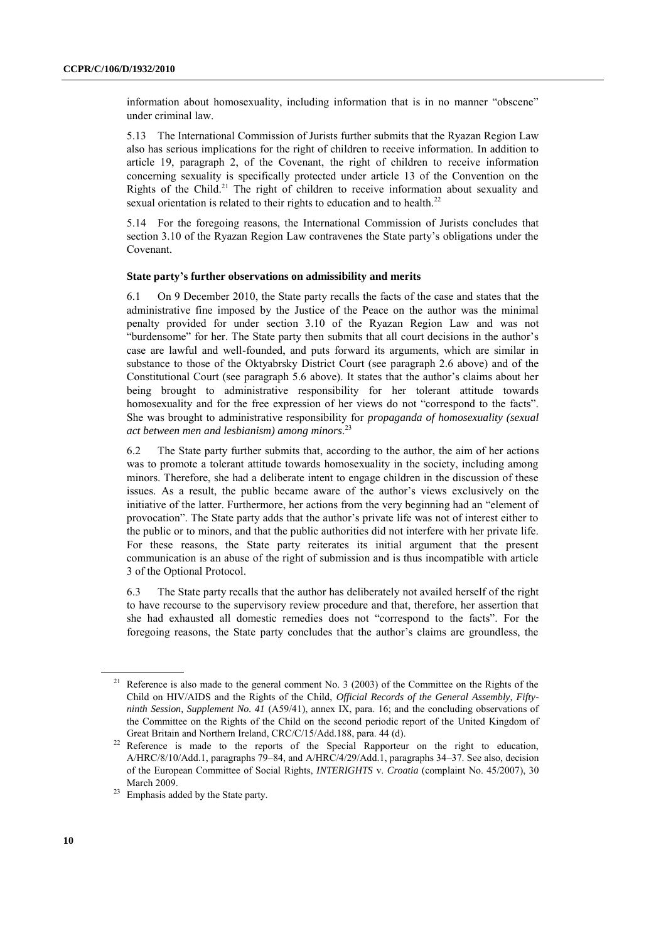information about homosexuality, including information that is in no manner "obscene" under criminal law.

5.13 The International Commission of Jurists further submits that the Ryazan Region Law also has serious implications for the right of children to receive information. In addition to article 19, paragraph 2, of the Covenant, the right of children to receive information concerning sexuality is specifically protected under article 13 of the Convention on the Rights of the Child.<sup>21</sup> The right of children to receive information about sexuality and sexual orientation is related to their rights to education and to health. $^{22}$ 

5.14 For the foregoing reasons, the International Commission of Jurists concludes that section 3.10 of the Ryazan Region Law contravenes the State party"s obligations under the Covenant.

#### **State party's further observations on admissibility and merits**

6.1 On 9 December 2010, the State party recalls the facts of the case and states that the administrative fine imposed by the Justice of the Peace on the author was the minimal penalty provided for under section 3.10 of the Ryazan Region Law and was not "burdensome" for her. The State party then submits that all court decisions in the author"s case are lawful and well-founded, and puts forward its arguments, which are similar in substance to those of the Oktyabrsky District Court (see paragraph 2.6 above) and of the Constitutional Court (see paragraph 5.6 above). It states that the author"s claims about her being brought to administrative responsibility for her tolerant attitude towards homosexuality and for the free expression of her views do not "correspond to the facts". She was brought to administrative responsibility for *propaganda of homosexuality (sexual act between men and lesbianism) among minors*. 23

6.2 The State party further submits that, according to the author, the aim of her actions was to promote a tolerant attitude towards homosexuality in the society, including among minors. Therefore, she had a deliberate intent to engage children in the discussion of these issues. As a result, the public became aware of the author"s views exclusively on the initiative of the latter. Furthermore, her actions from the very beginning had an "element of provocation". The State party adds that the author"s private life was not of interest either to the public or to minors, and that the public authorities did not interfere with her private life. For these reasons, the State party reiterates its initial argument that the present communication is an abuse of the right of submission and is thus incompatible with article 3 of the Optional Protocol.

6.3 The State party recalls that the author has deliberately not availed herself of the right to have recourse to the supervisory review procedure and that, therefore, her assertion that she had exhausted all domestic remedies does not "correspond to the facts". For the foregoing reasons, the State party concludes that the author"s claims are groundless, the

Reference is also made to the general comment No. 3 (2003) of the Committee on the Rights of the Child on HIV/AIDS and the Rights of the Child, *Official Records of the General Assembly, Fiftyninth Session, Supplement No. 41* (A59/41), annex IX, para. 16; and the concluding observations of the Committee on the Rights of the Child on the second periodic report of the United Kingdom of Great Britain and Northern Ireland, CRC/C/15/Add.188, para. 44 (d).

<sup>&</sup>lt;sup>22</sup> Reference is made to the reports of the Special Rapporteur on the right to education, A/HRC/8/10/Add.1, paragraphs 79–84, and A/HRC/4/29/Add.1, paragraphs 34–37. See also, decision of the European Committee of Social Rights, *INTERIGHTS* v. *Croatia* (complaint No. 45/2007), 30 March 2009.

<sup>&</sup>lt;sup>23</sup> Emphasis added by the State party.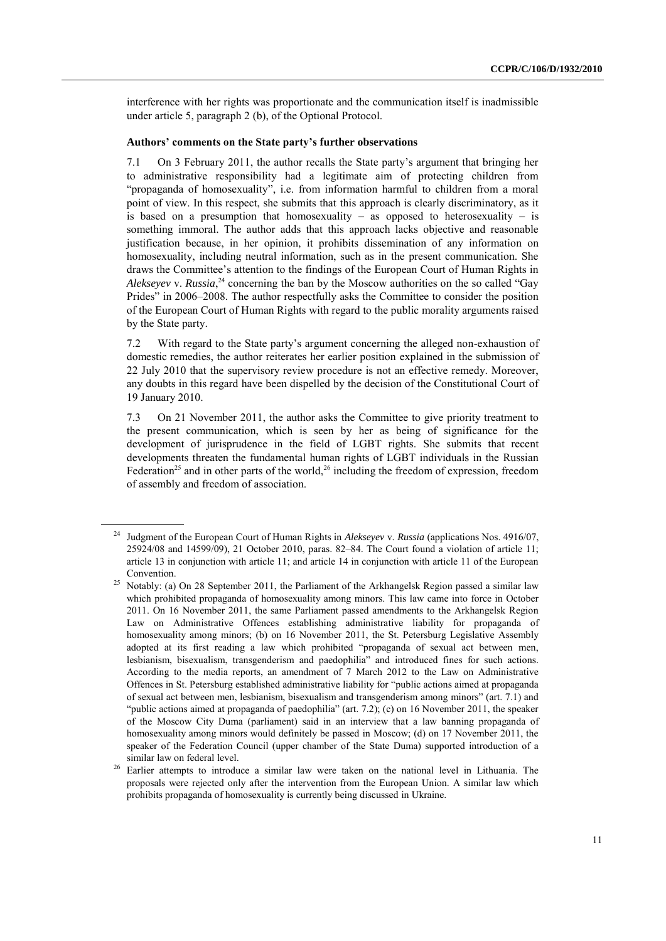interference with her rights was proportionate and the communication itself is inadmissible under article 5, paragraph 2 (b), of the Optional Protocol.

#### **Authors' comments on the State party's further observations**

7.1 On 3 February 2011, the author recalls the State party"s argument that bringing her to administrative responsibility had a legitimate aim of protecting children from "propaganda of homosexuality", i.e. from information harmful to children from a moral point of view. In this respect, she submits that this approach is clearly discriminatory, as it is based on a presumption that homosexuality – as opposed to heterosexuality – is something immoral. The author adds that this approach lacks objective and reasonable justification because, in her opinion, it prohibits dissemination of any information on homosexuality, including neutral information, such as in the present communication. She draws the Committee"s attention to the findings of the European Court of Human Rights in *Alekseyev* v. *Russia*, <sup>24</sup> concerning the ban by the Moscow authorities on the so called "Gay Prides" in 2006–2008. The author respectfully asks the Committee to consider the position of the European Court of Human Rights with regard to the public morality arguments raised by the State party.

7.2 With regard to the State party"s argument concerning the alleged non-exhaustion of domestic remedies, the author reiterates her earlier position explained in the submission of 22 July 2010 that the supervisory review procedure is not an effective remedy. Moreover, any doubts in this regard have been dispelled by the decision of the Constitutional Court of 19 January 2010.

7.3 On 21 November 2011, the author asks the Committee to give priority treatment to the present communication, which is seen by her as being of significance for the development of jurisprudence in the field of LGBT rights. She submits that recent developments threaten the fundamental human rights of LGBT individuals in the Russian Federation<sup>25</sup> and in other parts of the world,<sup>26</sup> including the freedom of expression, freedom of assembly and freedom of association.

<sup>24</sup> Judgment of the European Court of Human Rights in *Alekseyev* v. *Russia* (applications Nos. 4916/07, 25924/08 and 14599/09), 21 October 2010, paras. 82–84. The Court found a violation of article 11; article 13 in conjunction with article 11; and article 14 in conjunction with article 11 of the European Convention.

<sup>&</sup>lt;sup>25</sup> Notably: (a) On 28 September 2011, the Parliament of the Arkhangelsk Region passed a similar law which prohibited propaganda of homosexuality among minors. This law came into force in October 2011. On 16 November 2011, the same Parliament passed amendments to the Arkhangelsk Region Law on Administrative Offences establishing administrative liability for propaganda of homosexuality among minors; (b) on 16 November 2011, the St. Petersburg Legislative Assembly adopted at its first reading a law which prohibited "propaganda of sexual act between men, lesbianism, bisexualism, transgenderism and paedophilia" and introduced fines for such actions. According to the media reports, an amendment of 7 March 2012 to the Law on Administrative Offences in St. Petersburg established administrative liability for "public actions aimed at propaganda of sexual act between men, lesbianism, bisexualism and transgenderism among minors" (art. 7.1) and "public actions aimed at propaganda of paedophilia" (art. 7.2); (c) on 16 November 2011, the speaker of the Moscow City Duma (parliament) said in an interview that a law banning propaganda of homosexuality among minors would definitely be passed in Moscow; (d) on 17 November 2011, the speaker of the Federation Council (upper chamber of the State Duma) supported introduction of a similar law on federal level.

<sup>&</sup>lt;sup>26</sup> Earlier attempts to introduce a similar law were taken on the national level in Lithuania. The proposals were rejected only after the intervention from the European Union. A similar law which prohibits propaganda of homosexuality is currently being discussed in Ukraine.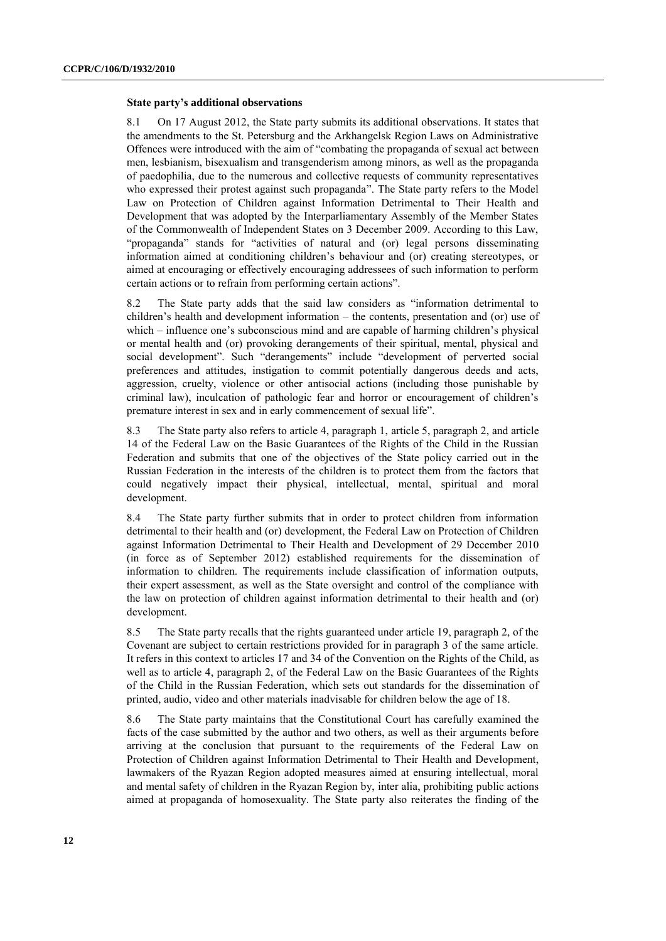#### **State party's additional observations**

8.1 On 17 August 2012, the State party submits its additional observations. It states that the amendments to the St. Petersburg and the Arkhangelsk Region Laws on Administrative Offences were introduced with the aim of "combating the propaganda of sexual act between men, lesbianism, bisexualism and transgenderism among minors, as well as the propaganda of paedophilia, due to the numerous and collective requests of community representatives who expressed their protest against such propaganda". The State party refers to the Model Law on Protection of Children against Information Detrimental to Their Health and Development that was adopted by the Interparliamentary Assembly of the Member States of the Commonwealth of Independent States on 3 December 2009. According to this Law, "propaganda" stands for "activities of natural and (or) legal persons disseminating information aimed at conditioning children"s behaviour and (or) creating stereotypes, or aimed at encouraging or effectively encouraging addressees of such information to perform certain actions or to refrain from performing certain actions".

8.2 The State party adds that the said law considers as "information detrimental to children"s health and development information – the contents, presentation and (or) use of which – influence one's subconscious mind and are capable of harming children's physical or mental health and (or) provoking derangements of their spiritual, mental, physical and social development". Such "derangements" include "development of perverted social preferences and attitudes, instigation to commit potentially dangerous deeds and acts, aggression, cruelty, violence or other antisocial actions (including those punishable by criminal law), inculcation of pathologic fear and horror or encouragement of children"s premature interest in sex and in early commencement of sexual life".

8.3 The State party also refers to article 4, paragraph 1, article 5, paragraph 2, and article 14 of the Federal Law on the Basic Guarantees of the Rights of the Child in the Russian Federation and submits that one of the objectives of the State policy carried out in the Russian Federation in the interests of the children is to protect them from the factors that could negatively impact their physical, intellectual, mental, spiritual and moral development.

8.4 The State party further submits that in order to protect children from information detrimental to their health and (or) development, the Federal Law on Protection of Children against Information Detrimental to Their Health and Development of 29 December 2010 (in force as of September 2012) established requirements for the dissemination of information to children. The requirements include classification of information outputs, their expert assessment, as well as the State oversight and control of the compliance with the law on protection of children against information detrimental to their health and (or) development.

8.5 The State party recalls that the rights guaranteed under article 19, paragraph 2, of the Covenant are subject to certain restrictions provided for in paragraph 3 of the same article. It refers in this context to articles 17 and 34 of the Convention on the Rights of the Child, as well as to article 4, paragraph 2, of the Federal Law on the Basic Guarantees of the Rights of the Child in the Russian Federation, which sets out standards for the dissemination of printed, audio, video and other materials inadvisable for children below the age of 18.

8.6 The State party maintains that the Constitutional Court has carefully examined the facts of the case submitted by the author and two others, as well as their arguments before arriving at the conclusion that pursuant to the requirements of the Federal Law on Protection of Children against Information Detrimental to Their Health and Development, lawmakers of the Ryazan Region adopted measures aimed at ensuring intellectual, moral and mental safety of children in the Ryazan Region by, inter alia, prohibiting public actions aimed at propaganda of homosexuality. The State party also reiterates the finding of the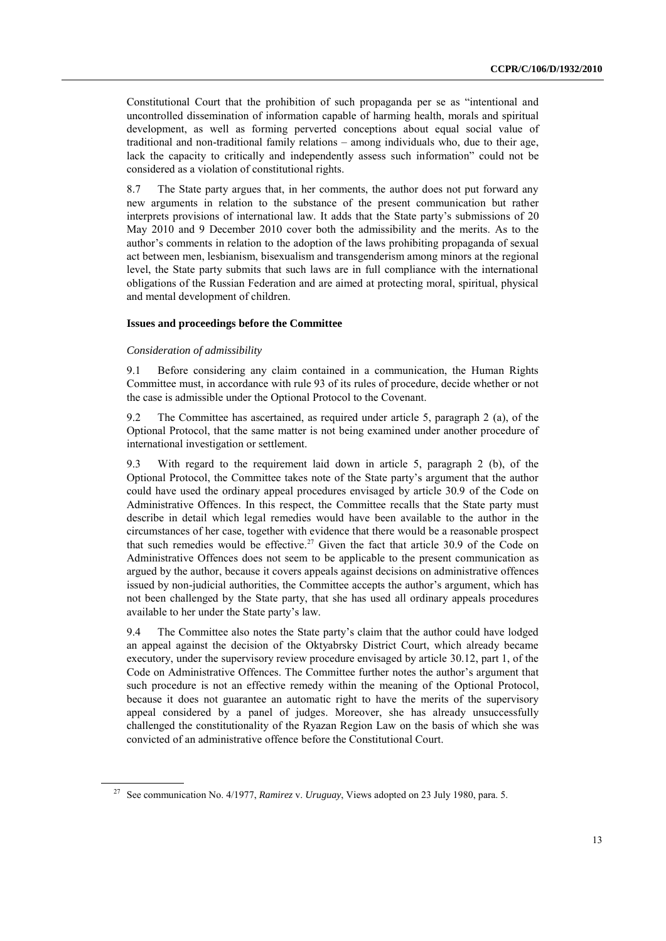Constitutional Court that the prohibition of such propaganda per se as "intentional and uncontrolled dissemination of information capable of harming health, morals and spiritual development, as well as forming perverted conceptions about equal social value of traditional and non-traditional family relations – among individuals who, due to their age, lack the capacity to critically and independently assess such information" could not be considered as a violation of constitutional rights.

8.7 The State party argues that, in her comments, the author does not put forward any new arguments in relation to the substance of the present communication but rather interprets provisions of international law. It adds that the State party"s submissions of 20 May 2010 and 9 December 2010 cover both the admissibility and the merits. As to the author"s comments in relation to the adoption of the laws prohibiting propaganda of sexual act between men, lesbianism, bisexualism and transgenderism among minors at the regional level, the State party submits that such laws are in full compliance with the international obligations of the Russian Federation and are aimed at protecting moral, spiritual, physical and mental development of children.

#### **Issues and proceedings before the Committee**

#### *Consideration of admissibility*

9.1 Before considering any claim contained in a communication, the Human Rights Committee must, in accordance with rule 93 of its rules of procedure, decide whether or not the case is admissible under the Optional Protocol to the Covenant.

9.2 The Committee has ascertained, as required under article 5, paragraph 2 (a), of the Optional Protocol, that the same matter is not being examined under another procedure of international investigation or settlement.

9.3 With regard to the requirement laid down in article 5, paragraph 2 (b), of the Optional Protocol, the Committee takes note of the State party"s argument that the author could have used the ordinary appeal procedures envisaged by article 30.9 of the Code on Administrative Offences. In this respect, the Committee recalls that the State party must describe in detail which legal remedies would have been available to the author in the circumstances of her case, together with evidence that there would be a reasonable prospect that such remedies would be effective.<sup>27</sup> Given the fact that article 30.9 of the Code on Administrative Offences does not seem to be applicable to the present communication as argued by the author, because it covers appeals against decisions on administrative offences issued by non-judicial authorities, the Committee accepts the author"s argument, which has not been challenged by the State party, that she has used all ordinary appeals procedures available to her under the State party"s law.

9.4 The Committee also notes the State party"s claim that the author could have lodged an appeal against the decision of the Oktyabrsky District Court, which already became executory, under the supervisory review procedure envisaged by article 30.12, part 1, of the Code on Administrative Offences. The Committee further notes the author"s argument that such procedure is not an effective remedy within the meaning of the Optional Protocol, because it does not guarantee an automatic right to have the merits of the supervisory appeal considered by a panel of judges. Moreover, she has already unsuccessfully challenged the constitutionality of the Ryazan Region Law on the basis of which she was convicted of an administrative offence before the Constitutional Court.

<sup>27</sup> See communication No. 4/1977, *Ramirez* v. *Uruguay*, Views adopted on 23 July 1980, para. 5.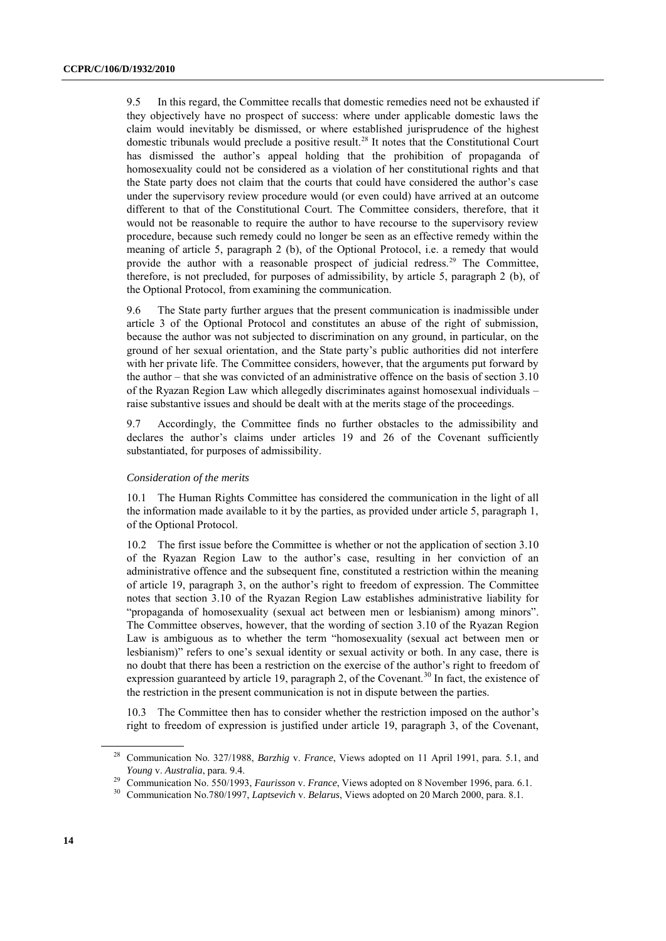9.5 In this regard, the Committee recalls that domestic remedies need not be exhausted if they objectively have no prospect of success: where under applicable domestic laws the claim would inevitably be dismissed, or where established jurisprudence of the highest domestic tribunals would preclude a positive result.<sup>28</sup> It notes that the Constitutional Court has dismissed the author"s appeal holding that the prohibition of propaganda of homosexuality could not be considered as a violation of her constitutional rights and that the State party does not claim that the courts that could have considered the author"s case under the supervisory review procedure would (or even could) have arrived at an outcome different to that of the Constitutional Court. The Committee considers, therefore, that it would not be reasonable to require the author to have recourse to the supervisory review procedure, because such remedy could no longer be seen as an effective remedy within the meaning of article 5, paragraph 2 (b), of the Optional Protocol, i.e. a remedy that would provide the author with a reasonable prospect of judicial redress.<sup>29</sup> The Committee, therefore, is not precluded, for purposes of admissibility, by article 5, paragraph 2 (b), of the Optional Protocol, from examining the communication.

9.6 The State party further argues that the present communication is inadmissible under article 3 of the Optional Protocol and constitutes an abuse of the right of submission, because the author was not subjected to discrimination on any ground, in particular, on the ground of her sexual orientation, and the State party"s public authorities did not interfere with her private life. The Committee considers, however, that the arguments put forward by the author – that she was convicted of an administrative offence on the basis of section 3.10 of the Ryazan Region Law which allegedly discriminates against homosexual individuals – raise substantive issues and should be dealt with at the merits stage of the proceedings.

9.7 Accordingly, the Committee finds no further obstacles to the admissibility and declares the author's claims under articles 19 and 26 of the Covenant sufficiently substantiated, for purposes of admissibility.

#### *Consideration of the merits*

10.1 The Human Rights Committee has considered the communication in the light of all the information made available to it by the parties, as provided under article 5, paragraph 1, of the Optional Protocol.

10.2 The first issue before the Committee is whether or not the application of section 3.10 of the Ryazan Region Law to the author"s case, resulting in her conviction of an administrative offence and the subsequent fine, constituted a restriction within the meaning of article 19, paragraph 3, on the author"s right to freedom of expression. The Committee notes that section 3.10 of the Ryazan Region Law establishes administrative liability for "propaganda of homosexuality (sexual act between men or lesbianism) among minors". The Committee observes, however, that the wording of section 3.10 of the Ryazan Region Law is ambiguous as to whether the term "homosexuality (sexual act between men or lesbianism)" refers to one's sexual identity or sexual activity or both. In any case, there is no doubt that there has been a restriction on the exercise of the author's right to freedom of expression guaranteed by article 19, paragraph 2, of the Covenant.<sup>30</sup> In fact, the existence of the restriction in the present communication is not in dispute between the parties.

10.3 The Committee then has to consider whether the restriction imposed on the author"s right to freedom of expression is justified under article 19, paragraph 3, of the Covenant,

<sup>28</sup> Communication No. 327/1988, *Barzhig* v. *France*, Views adopted on 11 April 1991, para. 5.1, and *Young* v. *Australia*, para. 9.4.

<sup>29</sup> Communication No. 550/1993, *Faurisson* v. *France*, Views adopted on 8 November 1996, para. 6.1.

<sup>30</sup> Communication No.780/1997, *Laptsevich* v. *Belarus*, Views adopted on 20 March 2000, para. 8.1.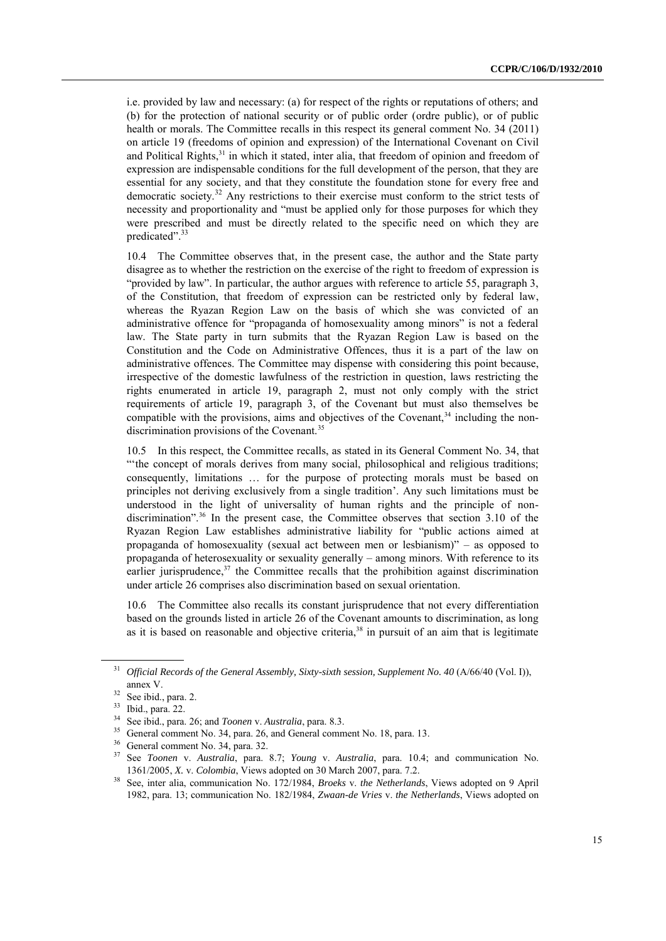i.e. provided by law and necessary: (a) for respect of the rights or reputations of others; and (b) for the protection of national security or of public order (ordre public), or of public health or morals. The Committee recalls in this respect its general comment No. 34 (2011) on article 19 (freedoms of opinion and expression) of the International Covenant on Civil and Political Rights,<sup>31</sup> in which it stated, inter alia, that freedom of opinion and freedom of expression are indispensable conditions for the full development of the person, that they are essential for any society, and that they constitute the foundation stone for every free and democratic society.<sup>32</sup> Any restrictions to their exercise must conform to the strict tests of necessity and proportionality and "must be applied only for those purposes for which they were prescribed and must be directly related to the specific need on which they are predicated".<sup>33</sup>

10.4 The Committee observes that, in the present case, the author and the State party disagree as to whether the restriction on the exercise of the right to freedom of expression is "provided by law". In particular, the author argues with reference to article 55, paragraph 3, of the Constitution, that freedom of expression can be restricted only by federal law, whereas the Ryazan Region Law on the basis of which she was convicted of an administrative offence for "propaganda of homosexuality among minors" is not a federal law. The State party in turn submits that the Ryazan Region Law is based on the Constitution and the Code on Administrative Offences, thus it is a part of the law on administrative offences. The Committee may dispense with considering this point because, irrespective of the domestic lawfulness of the restriction in question, laws restricting the rights enumerated in article 19, paragraph 2, must not only comply with the strict requirements of article 19, paragraph 3, of the Covenant but must also themselves be compatible with the provisions, aims and objectives of the Covenant,  $34$  including the nondiscrimination provisions of the Covenant.<sup>35</sup>

10.5 In this respect, the Committee recalls, as stated in its General Comment No. 34, that ""the concept of morals derives from many social, philosophical and religious traditions; consequently, limitations … for the purpose of protecting morals must be based on principles not deriving exclusively from a single tradition". Any such limitations must be understood in the light of universality of human rights and the principle of nondiscrimination".<sup>36</sup> In the present case, the Committee observes that section 3.10 of the Ryazan Region Law establishes administrative liability for "public actions aimed at propaganda of homosexuality (sexual act between men or lesbianism)" – as opposed to propaganda of heterosexuality or sexuality generally – among minors. With reference to its earlier jurisprudence,<sup>37</sup> the Committee recalls that the prohibition against discrimination under article 26 comprises also discrimination based on sexual orientation.

10.6 The Committee also recalls its constant jurisprudence that not every differentiation based on the grounds listed in article 26 of the Covenant amounts to discrimination, as long as it is based on reasonable and objective criteria, $38$  in pursuit of an aim that is legitimate

<sup>&</sup>lt;sup>31</sup> *Official Records of the General Assembly, Sixty-sixth session, Supplement No. 40 (A/66/40 (Vol. I)),* annex V.

 $32$  See ibid., para. 2.

<sup>33</sup> Ibid., para. 22.

<sup>34</sup> See ibid., para. 26; and *Toonen* v. *Australia*, para. 8.3.

General comment No. 34, para. 26, and General comment No. 18, para. 13.

 $36$  General comment No. 34, para. 32.

<sup>37</sup> See *Toonen* v. *Australia*, para. 8.7; *Young* v. *Australia*, para. 10.4; and communication No. 1361/2005, *X.* v. *Colombia*, Views adopted on 30 March 2007, para. 7.2.

<sup>38</sup> See, inter alia, communication No. 172/1984, *Broeks* v. *the Netherlands*, Views adopted on 9 April 1982, para. 13; communication No. 182/1984, *Zwaan-de Vries* v. *the Netherlands*, Views adopted on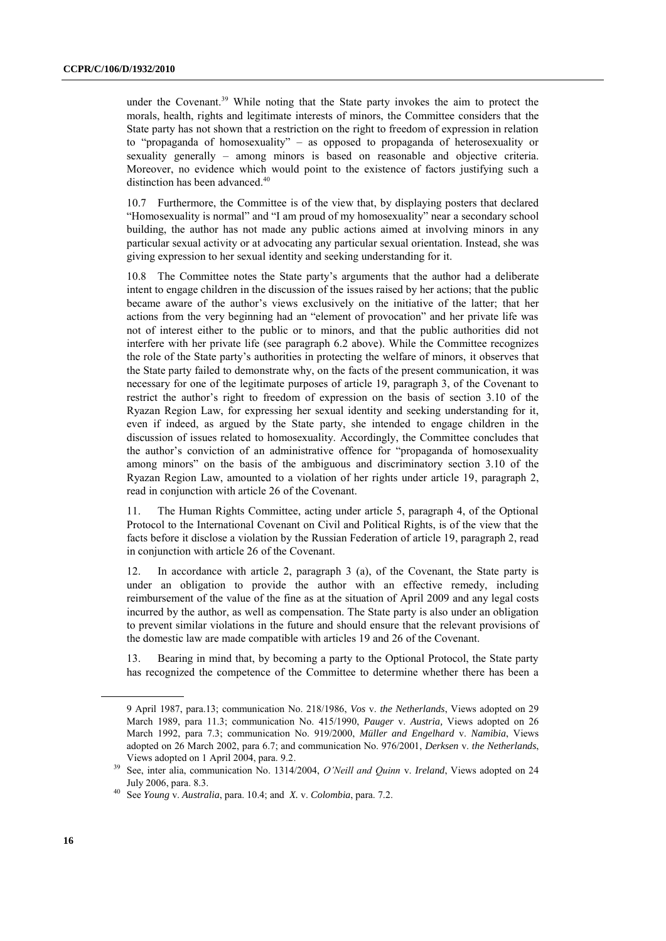under the Covenant.<sup>39</sup> While noting that the State party invokes the aim to protect the morals, health, rights and legitimate interests of minors, the Committee considers that the State party has not shown that a restriction on the right to freedom of expression in relation to "propaganda of homosexuality" – as opposed to propaganda of heterosexuality or sexuality generally – among minors is based on reasonable and objective criteria. Moreover, no evidence which would point to the existence of factors justifying such a distinction has been advanced.<sup>40</sup>

10.7 Furthermore, the Committee is of the view that, by displaying posters that declared "Homosexuality is normal" and "I am proud of my homosexuality" near a secondary school building, the author has not made any public actions aimed at involving minors in any particular sexual activity or at advocating any particular sexual orientation. Instead, she was giving expression to her sexual identity and seeking understanding for it.

The Committee notes the State party's arguments that the author had a deliberate intent to engage children in the discussion of the issues raised by her actions; that the public became aware of the author"s views exclusively on the initiative of the latter; that her actions from the very beginning had an "element of provocation" and her private life was not of interest either to the public or to minors, and that the public authorities did not interfere with her private life (see paragraph 6.2 above). While the Committee recognizes the role of the State party"s authorities in protecting the welfare of minors, it observes that the State party failed to demonstrate why, on the facts of the present communication, it was necessary for one of the legitimate purposes of article 19, paragraph 3, of the Covenant to restrict the author's right to freedom of expression on the basis of section 3.10 of the Ryazan Region Law, for expressing her sexual identity and seeking understanding for it, even if indeed, as argued by the State party, she intended to engage children in the discussion of issues related to homosexuality. Accordingly, the Committee concludes that the author"s conviction of an administrative offence for "propaganda of homosexuality among minors" on the basis of the ambiguous and discriminatory section 3.10 of the Ryazan Region Law, amounted to a violation of her rights under article 19, paragraph 2, read in conjunction with article 26 of the Covenant.

11. The Human Rights Committee, acting under article 5, paragraph 4, of the Optional Protocol to the International Covenant on Civil and Political Rights, is of the view that the facts before it disclose a violation by the Russian Federation of article 19, paragraph 2, read in conjunction with article 26 of the Covenant.

12. In accordance with article 2, paragraph 3 (a), of the Covenant, the State party is under an obligation to provide the author with an effective remedy, including reimbursement of the value of the fine as at the situation of April 2009 and any legal costs incurred by the author, as well as compensation. The State party is also under an obligation to prevent similar violations in the future and should ensure that the relevant provisions of the domestic law are made compatible with articles 19 and 26 of the Covenant.

13. Bearing in mind that, by becoming a party to the Optional Protocol, the State party has recognized the competence of the Committee to determine whether there has been a

<sup>9</sup> April 1987, para.13; communication No. 218/1986, *Vos* v. *the Netherlands*, Views adopted on 29 March 1989, para 11.3; communication No. 415/1990, *Pauger* v. *Austria,* Views adopted on 26 March 1992, para 7.3; communication No. 919/2000, *Müller and Engelhard* v. *Namibia*, Views adopted on 26 March 2002, para 6.7; and communication No. 976/2001, *Derksen* v. *the Netherlands*, Views adopted on 1 April 2004, para. 9.2.

<sup>39</sup> See, inter alia, communication No. 1314/2004, *O'Neill and Quinn* v. *Ireland*, Views adopted on 24 July 2006, para. 8.3.

<sup>40</sup> See *Young* v. *Australia*, para. 10.4; and *X.* v. *Colombia*, para. 7.2.